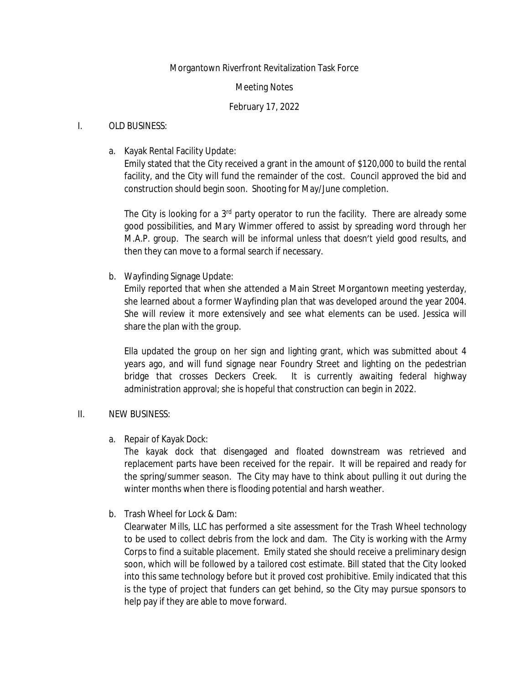## Morgantown Riverfront Revitalization Task Force

### Meeting Notes

## February 17, 2022

### I. OLD BUSINESS:

a. Kayak Rental Facility Update:

Emily stated that the City received a grant in the amount of \$120,000 to build the rental facility, and the City will fund the remainder of the cost. Council approved the bid and construction should begin soon. Shooting for May/June completion.

The City is looking for a 3<sup>rd</sup> party operator to run the facility. There are already some good possibilities, and Mary Wimmer offered to assist by spreading word through her M.A.P. group. The search will be informal unless that doesn't yield good results, and then they can move to a formal search if necessary.

b. Wayfinding Signage Update:

Emily reported that when she attended a Main Street Morgantown meeting yesterday, she learned about a former Wayfinding plan that was developed around the year 2004. She will review it more extensively and see what elements can be used. Jessica will share the plan with the group.

Ella updated the group on her sign and lighting grant, which was submitted about 4 years ago, and will fund signage near Foundry Street and lighting on the pedestrian bridge that crosses Deckers Creek. It is currently awaiting federal highway administration approval; she is hopeful that construction can begin in 2022.

# II. NEW BUSINESS:

a. Repair of Kayak Dock:

The kayak dock that disengaged and floated downstream was retrieved and replacement parts have been received for the repair. It will be repaired and ready for the spring/summer season. The City may have to think about pulling it out during the winter months when there is flooding potential and harsh weather.

b. Trash Wheel for Lock & Dam:

Clearwater Mills, LLC has performed a site assessment for the Trash Wheel technology to be used to collect debris from the lock and dam. The City is working with the Army Corps to find a suitable placement. Emily stated she should receive a preliminary design soon, which will be followed by a tailored cost estimate. Bill stated that the City looked into this same technology before but it proved cost prohibitive. Emily indicated that this is the type of project that funders can get behind, so the City may pursue sponsors to help pay if they are able to move forward.